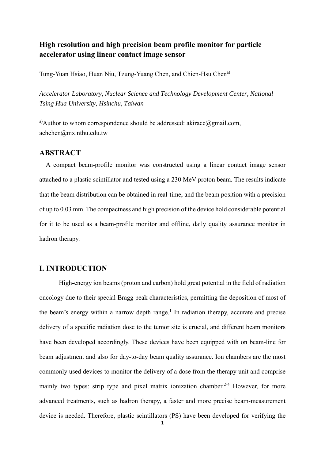# **High resolution and high precision beam profile monitor for particle accelerator using linear contact image sensor**

Tung-Yuan Hsiao, Huan Niu, Tzung-Yuang Chen, and Chien-Hsu Chen<sup>a)</sup>

*Accelerator Laboratory, Nuclear Science and Technology Development Center, National Tsing Hua University, Hsinchu, Taiwan* 

<sup>a)</sup>Author to whom correspondence should be addressed: akiracc@gmail.com, achchen@mx.nthu.edu.tw

## **ABSTRACT**

 A compact beam-profile monitor was constructed using a linear contact image sensor attached to a plastic scintillator and tested using a 230 MeV proton beam. The results indicate that the beam distribution can be obtained in real-time, and the beam position with a precision of up to 0.03 mm. The compactness and high precision of the device hold considerable potential for it to be used as a beam-profile monitor and offline, daily quality assurance monitor in hadron therapy.

# **I. INTRODUCTION**

High-energy ion beams (proton and carbon) hold great potential in the field of radiation oncology due to their special Bragg peak characteristics, permitting the deposition of most of the beam's energy within a narrow depth range.<sup>1</sup> In radiation therapy, accurate and precise delivery of a specific radiation dose to the tumor site is crucial, and different beam monitors have been developed accordingly. These devices have been equipped with on beam-line for beam adjustment and also for day-to-day beam quality assurance. Ion chambers are the most commonly used devices to monitor the delivery of a dose from the therapy unit and comprise mainly two types: strip type and pixel matrix ionization chamber.<sup>2-4</sup> However, for more advanced treatments, such as hadron therapy, a faster and more precise beam-measurement device is needed. Therefore, plastic scintillators (PS) have been developed for verifying the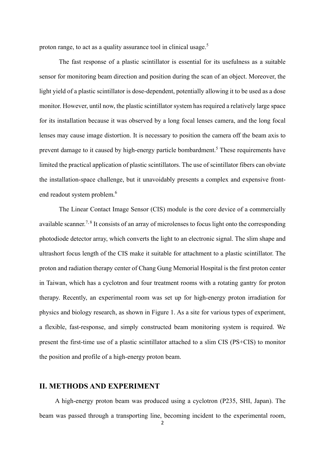proton range, to act as a quality assurance tool in clinical usage.<sup>5</sup>

The fast response of a plastic scintillator is essential for its usefulness as a suitable sensor for monitoring beam direction and position during the scan of an object. Moreover, the light yield of a plastic scintillator is dose-dependent, potentially allowing it to be used as a dose monitor. However, until now, the plastic scintillator system has required a relatively large space for its installation because it was observed by a long focal lenses camera, and the long focal lenses may cause image distortion. It is necessary to position the camera off the beam axis to prevent damage to it caused by high-energy particle bombardment.<sup>5</sup> These requirements have limited the practical application of plastic scintillators. The use of scintillator fibers can obviate the installation-space challenge, but it unavoidably presents a complex and expensive frontend readout system problem.<sup>6</sup>

The Linear Contact Image Sensor (CIS) module is the core device of a commercially available scanner.<sup>7, 8</sup> It consists of an array of microlenses to focus light onto the corresponding photodiode detector array, which converts the light to an electronic signal. The slim shape and ultrashort focus length of the CIS make it suitable for attachment to a plastic scintillator. The proton and radiation therapy center of Chang Gung Memorial Hospital is the first proton center in Taiwan, which has a cyclotron and four treatment rooms with a rotating gantry for proton therapy. Recently, an experimental room was set up for high-energy proton irradiation for physics and biology research, as shown in Figure 1. As a site for various types of experiment, a flexible, fast-response, and simply constructed beam monitoring system is required. We present the first-time use of a plastic scintillator attached to a slim CIS (PS+CIS) to monitor the position and profile of a high-energy proton beam.

# **II. METHODS AND EXPERIMENT**

 A high-energy proton beam was produced using a cyclotron (P235, SHI, Japan). The beam was passed through a transporting line, becoming incident to the experimental room,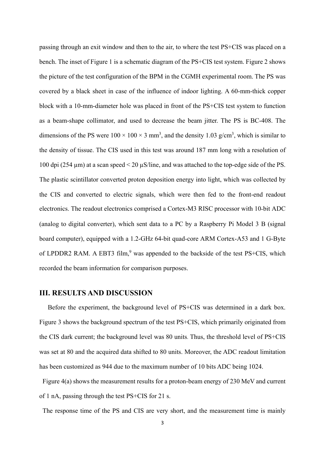passing through an exit window and then to the air, to where the test PS+CIS was placed on a bench. The inset of Figure 1 is a schematic diagram of the PS+CIS test system. Figure 2 shows the picture of the test configuration of the BPM in the CGMH experimental room. The PS was covered by a black sheet in case of the influence of indoor lighting. A 60-mm-thick copper block with a 10-mm-diameter hole was placed in front of the PS+CIS test system to function as a beam-shape collimator, and used to decrease the beam jitter. The PS is BC-408. The dimensions of the PS were  $100 \times 100 \times 3$  mm<sup>3</sup>, and the density 1.03 g/cm<sup>3</sup>, which is similar to the density of tissue. The CIS used in this test was around 187 mm long with a resolution of 100 dpi (254 µm) at a scan speed < 20 µS/line, and was attached to the top-edge side of the PS. The plastic scintillator converted proton deposition energy into light, which was collected by the CIS and converted to electric signals, which were then fed to the front-end readout electronics. The readout electronics comprised a Cortex-M3 RISC processor with 10-bit ADC (analog to digital converter), which sent data to a PC by a Raspberry Pi Model 3 B (signal board computer), equipped with a 1.2-GHz 64-bit quad-core ARM Cortex-A53 and 1 G-Byte of LPDDR2 RAM. A EBT3 film,<sup>9</sup> was appended to the backside of the test PS+CIS, which recorded the beam information for comparison purposes.

## **III. RESULTS AND DISCUSSION**

 Before the experiment, the background level of PS+CIS was determined in a dark box. Figure 3 shows the background spectrum of the test PS+CIS, which primarily originated from the CIS dark current; the background level was 80 units. Thus, the threshold level of PS+CIS was set at 80 and the acquired data shifted to 80 units. Moreover, the ADC readout limitation has been customized as 944 due to the maximum number of 10 bits ADC being 1024.

Figure 4(a) shows the measurement results for a proton-beam energy of 230 MeV and current of 1 nA, passing through the test PS+CIS for 21 s.

The response time of the PS and CIS are very short, and the measurement time is mainly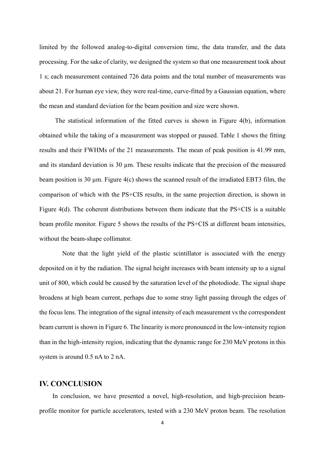limited by the followed analog-to-digital conversion time, the data transfer, and the data processing. For the sake of clarity, we designed the system so that one measurement took about 1 s; each measurement contained 726 data points and the total number of measurements was about 21. For human eye view, they were real-time, curve-fitted by a Gaussian equation, where the mean and standard deviation for the beam position and size were shown.

 The statistical information of the fitted curves is shown in Figure 4(b), information obtained while the taking of a measurement was stopped or paused. Table 1 shows the fitting results and their FWHMs of the 21 measurements. The mean of peak position is 41.99 mm, and its standard deviation is  $30 \mu m$ . These results indicate that the precision of the measured beam position is 30  $\mu$ m. Figure 4(c) shows the scanned result of the irradiated EBT3 film, the comparison of which with the PS+CIS results, in the same projection direction, is shown in Figure 4(d). The coherent distributions between them indicate that the PS+CIS is a suitable beam profile monitor. Figure 5 shows the results of the PS+CIS at different beam intensities, without the beam-shape collimator.

 Note that the light yield of the plastic scintillator is associated with the energy deposited on it by the radiation. The signal height increases with beam intensity up to a signal unit of 800, which could be caused by the saturation level of the photodiode. The signal shape broadens at high beam current, perhaps due to some stray light passing through the edges of the focus lens. The integration of the signal intensity of each measurement vs the correspondent beam current is shown in Figure 6. The linearity is more pronounced in the low-intensity region than in the high-intensity region, indicating that the dynamic range for 230 MeV protons in this system is around 0.5 nA to 2 nA.

### **IV. CONCLUSION**

 In conclusion, we have presented a novel, high-resolution, and high-precision beamprofile monitor for particle accelerators, tested with a 230 MeV proton beam. The resolution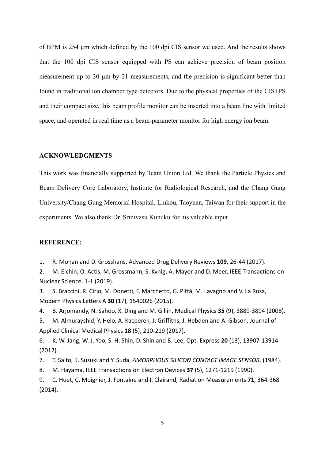of BPM is 254 µm which defined by the 100 dpi CIS sensor we used. And the results shows that the 100 dpi CIS sensor equipped with PS can achieve precision of beam position measurement up to 30  $\mu$ m by 21 measurements, and the precision is significant better than found in traditional ion chamber type detectors. Due to the physical properties of the CIS+PS and their compact size, this beam profile monitor can be inserted into a beam line with limited space, and operated in real time as a beam-parameter monitor for high energy ion beam.

### **ACKNOWLEDGMENTS**

This work was financially supported by Team Union Ltd. We thank the Particle Physics and Beam Delivery Core Laboratory, Institute for Radiological Research, and the Chang Gung University/Chang Gung Memorial Hospital, Linkou, Taoyuan, Taiwan for their support in the experiments. We also thank Dr. Srinivasu Kunuku for his valuable input.

#### **REFERENCE:**

1. R. Mohan and D. Grosshans, Advanced Drug Delivery Reviews **109**, 26‐44 (2017).

2. M. Eichin, O. Actis, M. Grossmann, S. Kvnig, A. Mayor and D. Meer, IEEE Transactions on Nuclear Science, 1‐1 (2019).

3. S. Braccini, R. Cirio, M. Donetti, F. Marchetto, G. Pittà, M. Lavagno and V. La Rosa, Modern Physics Letters A **30** (17), 1540026 (2015).

4. B. Arjomandy, N. Sahoo, X. Ding and M. Gillin, Medical Physics **35** (9), 3889‐3894 (2008).

5. M. Almurayshid, Y. Helo, A. Kacperek, J. Griffiths, J. Hebden and A. Gibson, Journal of Applied Clinical Medical Physics **18** (5), 210‐219 (2017).

6. K. W. Jang, W. J. Yoo, S. H. Shin, D. Shin and B. Lee, Opt. Express **20** (13), 13907‐13914 (2012).

7. T. Saito, K. Suzuki and Y. Suda, *AMORPHOUS SILICON CONTACT IMAGE SENSOR*. (1984).

8. M. Hayama, IEEE Transactions on Electron Devices **37** (5), 1271‐1219 (1990).

9. C. Huet, C. Moignier, J. Fontaine and I. Clairand, Radiation Measurements **71**, 364‐368 (2014).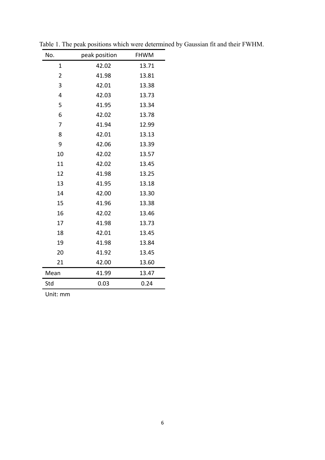| No.            | peak position | <b>FHWM</b> |
|----------------|---------------|-------------|
| $\mathbf 1$    | 42.02         | 13.71       |
| $\overline{2}$ | 41.98         | 13.81       |
| 3              | 42.01         | 13.38       |
| 4              | 42.03         | 13.73       |
| 5              | 41.95         | 13.34       |
| 6              | 42.02         | 13.78       |
| 7              | 41.94         | 12.99       |
| 8              | 42.01         | 13.13       |
| 9              | 42.06         | 13.39       |
| 10             | 42.02         | 13.57       |
| 11             | 42.02         | 13.45       |
| 12             | 41.98         | 13.25       |
| 13             | 41.95         | 13.18       |
| 14             | 42.00         | 13.30       |
| 15             | 41.96         | 13.38       |
| 16             | 42.02         | 13.46       |
| 17             | 41.98         | 13.73       |
| 18             | 42.01         | 13.45       |
| 19             | 41.98         | 13.84       |
| 20             | 41.92         | 13.45       |
| 21             | 42.00         | 13.60       |
| Mean           | 41.99         | 13.47       |
| Std            | 0.03          | 0.24        |

Table 1. The peak positions which were determined by Gaussian fit and their FWHM.

Unit: mm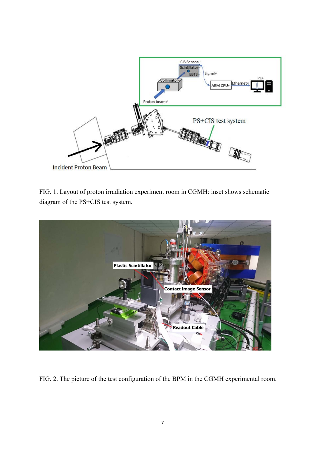

FIG. 1. Layout of proton irradiation experiment room in CGMH: inset shows schematic diagram of the PS+CIS test system.



FIG. 2. The picture of the test configuration of the BPM in the CGMH experimental room.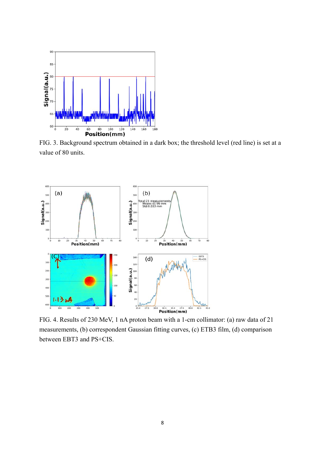

FIG. 3. Background spectrum obtained in a dark box; the threshold level (red line) is set at a value of 80 units.



FIG. 4. Results of 230 MeV, 1 nA proton beam with a 1-cm collimator: (a) raw data of 21 measurements, (b) correspondent Gaussian fitting curves, (c) ETB3 film, (d) comparison between EBT3 and PS+CIS.